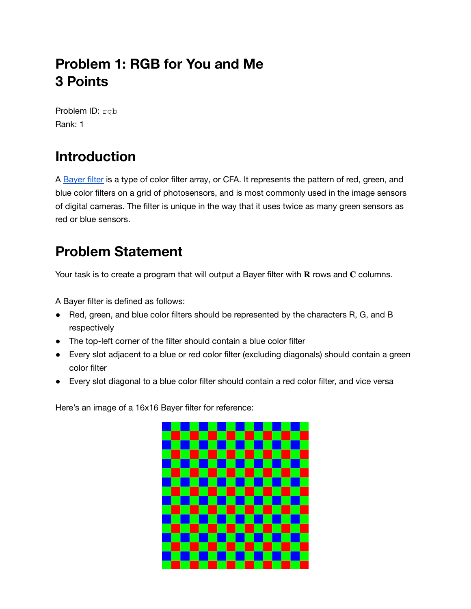## **Problem 1: RGB for You and Me 3 Points**

Problem ID: rgb Rank: 1

## **Introduction**

A [Bayer](https://en.wikipedia.org/wiki/Bayer_filter) filter is a type of color filter array, or CFA. It represents the pattern of red, green, and blue color filters on a grid of photosensors, and is most commonly used in the image sensors of digital cameras. The filter is unique in the way that it uses twice as many green sensors as red or blue sensors.

## **Problem Statement**

Your task is to create a program that will output a Bayer filter with **R** rows and **C** columns.

A Bayer filter is defined as follows:

- Red, green, and blue color filters should be represented by the characters R, G, and B respectively
- The top-left corner of the filter should contain a blue color filter
- Every slot adjacent to a blue or red color filter (excluding diagonals) should contain a green color filter
- Every slot diagonal to a blue color filter should contain a red color filter, and vice versa

Here's an image of a 16x16 Bayer filter for reference:

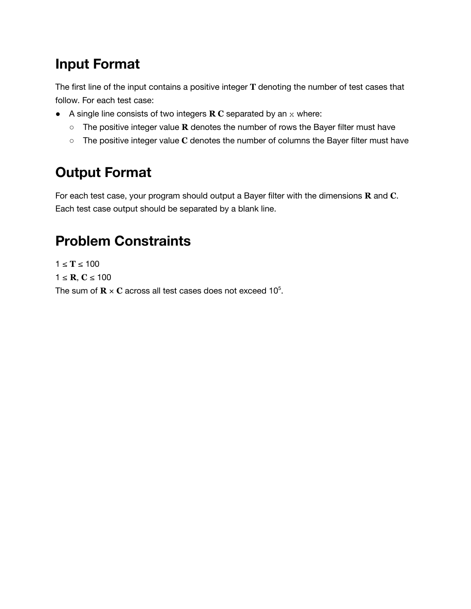#### **Input Format**

The first line of the input contains a positive integer **T** denoting the number of test cases that follow. For each test case:

- A single line consists of two integers **R C** separated by an x where:
	- The positive integer value **R** denotes the number of rows the Bayer filter must have
	- The positive integer value **C** denotes the number of columns the Bayer filter must have

## **Output Format**

For each test case, your program should output a Bayer filter with the dimensions **R** and **C**. Each test case output should be separated by a blank line.

#### **Problem Constraints**

 $1 ≤ T ≤ 100$ 1 ≤ **R**, **C** ≤ 100 The sum of  $\mathbf{R} \times \mathbf{C}$  across all test cases does not exceed 10<sup>5</sup>.